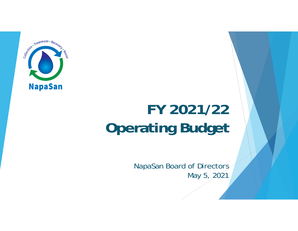

# **FY 2021/22 Operating Budget**

NapaSan Board of Directors May 5, 2021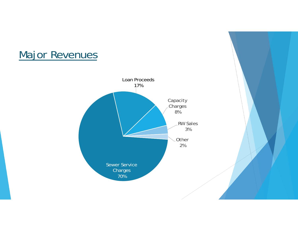# Major Revenues

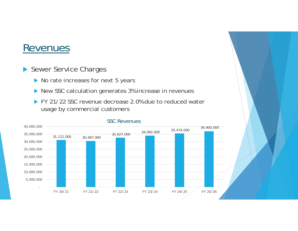- Sewer Service Charges
	- ▶ No rate increases for next 5 years
	- ▶ New SSC calculation generates 3% increase in revenues
	- FY 21/22 SSC revenue decrease 2.0% due to reduced water usage by commercial customers



#### SSC Revenues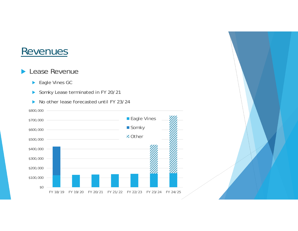#### **Lease Revenue**

- ▶ Eagle Vines GC
- Somky Lease terminated in FY 20/21



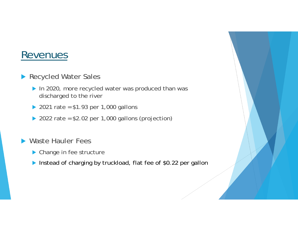- ▶ Recycled Water Sales
	- In 2020, more recycled water was produced than was discharged to the river
	- ▶ 2021 rate =  $$1.93$  per 1,000 gallons
	- ▶ 2022 rate =  $$2.02$  per 1,000 gallons (projection)
- ▶ Waste Hauler Fees
	- ▶ Change in fee structure
	- Instead of charging by truckload, flat fee of \$0.22 per gallon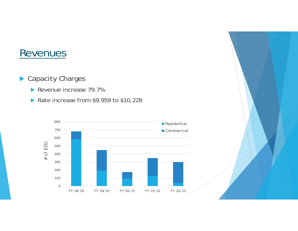- ▶ Capacity Charges
	- Revenue increase 79.7%
	- Rate increase from  $$9,959$  to  $$10,228$



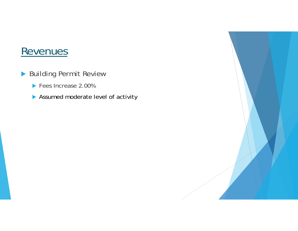- ▶ Building Permit Review
	- **Fees Increase 2.00%**
	- **Assumed moderate level of activity**

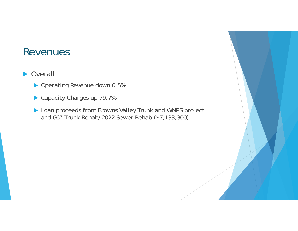#### **D** Overall

- ▶ Operating Revenue down 0.5%
- ▶ Capacity Charges up 79.7%
- **Loan proceeds from Browns Valley Trunk and WNPS project** and 66" Trunk Rehab/2022 Sewer Rehab (\$7,133,300)

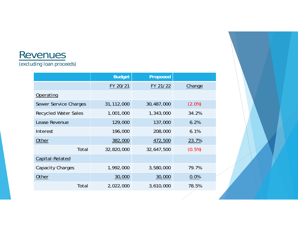#### Revenues *(excluding loan proceeds)*

|                              | <b>Budget</b> | <b>Proposed</b> |           |
|------------------------------|---------------|-----------------|-----------|
|                              | FY 20/21      | FY 21/22        | Change    |
| Operating                    |               |                 |           |
| <b>Sewer Service Charges</b> | 31,112,000    | 30,487,000      | $(2.0\%)$ |
| <b>Recycled Water Sales</b>  | 1,001,000     | 1,343,000       | 34.2%     |
| Lease Revenue                | 129,000       | 137,000         | 6.2%      |
| Interest                     | 196,000       | 208,000         | 6.1%      |
| Other                        | 382,000       | 472,500         | 23.7%     |
| Total                        | 32,820,000    | 32,647,500      | $(0.5\%)$ |
| Capital-Related              |               |                 |           |
| <b>Capacity Charges</b>      | 1,992,000     | 3,580,000       | 79.7%     |
| Other                        | 30,000        | 30,000          | 0.0%      |
| Total                        | 2,022,000     | 3,610,000       | 78.5%     |

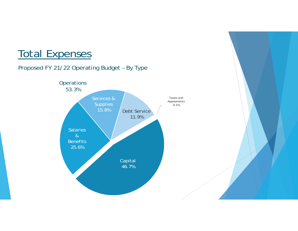# Total Expenses

#### Proposed FY 21/22 Operating Budget – By Type



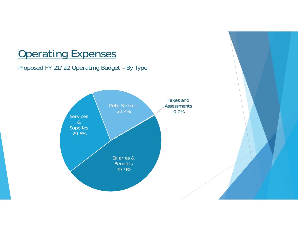#### Proposed FY 21/22 Operating Budget – By Type

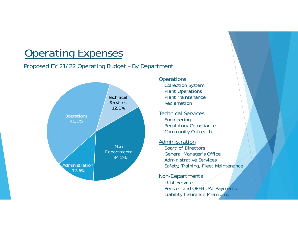#### Proposed FY 21/22 Operating Budget – By Department



#### **Operations**

Collection System Plant Operations Plant MaintenanceReclamation

Technical Services Engineering Regulatory Compliance Community Outreach

#### Administration Board of DirectorsGeneral Manager's Office Administrative ServicesSafety, Training, Fleet Maintenance

#### Non-Departmental

Debt ServicePension and OPEB UAL Payments Liability Insurance Premiums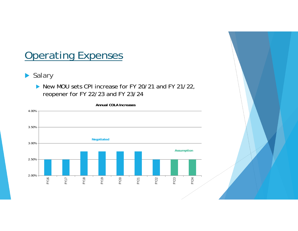- ▶ Salary
	- New MOU sets CPI increase for FY 20/21 and FY 21/22, reopener for FY 22/23 and FY 23/24



**Annual COLA Increases**

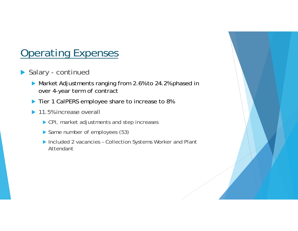- ▶ Salary continued
	- Market Adjustments ranging from 2.6% to 24.2% phased in over 4-year term of contract
	- Tier 1 CalPERS employee share to increase to 8%
	- ▶ 11.5% increase overall
		- ▶ CPI, market adjustments and step increases
		- Same number of employees (53)
		- ▶ Included 2 vacancies Collection Systems Worker and Plant Attendant

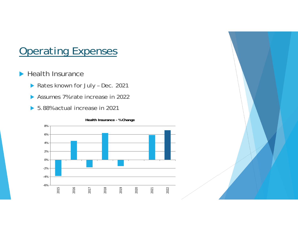- $\blacktriangleright$  Health Insurance
	- Rates known for July Dec. 2021
	- Assumes 7% rate increase in 2022
	- ▶ 5.88% actual increase in 2021

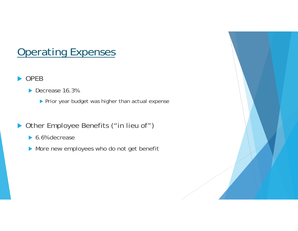#### ▶ OPEB

- Decrease 16.3%
	- $\blacktriangleright$  Prior year budget was higher than actual expense
- ▶ Other Employee Benefits ("in lieu of")
	- ▶ 6.6% decrease
	- More new employees who do not get benefit

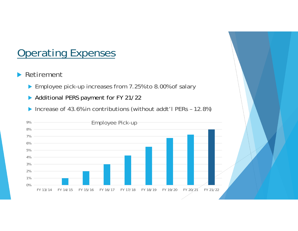#### **Retirement**

- ▶ Employee pick-up increases from 7.25% to 8.00% of salary
- Additional PERS payment for FY 21/22
- ▶ Increase of 43.6% in contributions (without addt'l PERs 12.8%)

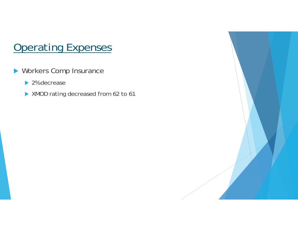- **Norkers Comp Insurance** 
	- ▶ 2% decrease
	- **XMOD rating decreased from 62 to 61**

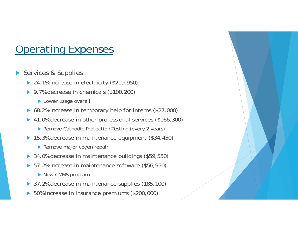- $\blacktriangleright$  Services & Supplies
	- ▶ 24.1% increase in electricity (\$219,950)
	- ▶ 9.7% decrease in chemicals (\$100,200)
		- **Lower usage overall**
	- ▶ 68.2% increase in temporary help for interns (\$27,000)
	- $\blacktriangleright$  41.0% decrease in other professional services (\$166,300)
		- ▶ Remove Cathodic Protection Testing (every 2 years)
	- ▶ 15.3% decrease in maintenance equipment (\$34,450)
		- Remove major cogen repair
	- ▶ 34.0% decrease in maintenance buildings (\$59,550)
	- ▶ 57.2% increase in maintenance software (\$56,950)
		- New CMMS program
	- ▶ 37.2% decrease in maintenance supplies (185,100)
	- ▶ 50% increase in insurance premiums (\$200,000)

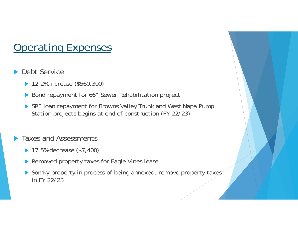#### $\blacktriangleright$ Debt Service

- ▶ 12.2% increase (\$560,300)
- ▶ Bond repayment for 66" Sewer Rehabilitation project
- SRF loan repayment for Browns Valley Trunk and West Napa Pump Station projects begins at end of construction (FY 22/23)

#### $\blacktriangleright$ Taxes and Assessments

- **▶ 17.5% decrease (\$7,400)**
- Removed property taxes for Eagle Vines lease
- Somky property in process of being annexed, remove property taxes in FY 22/23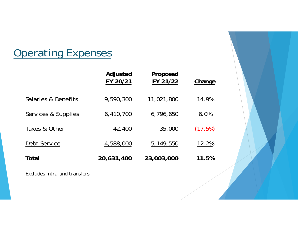|                     | Adjusted<br>FY 20/21 | Proposed<br>FY 21/22 | Change  |
|---------------------|----------------------|----------------------|---------|
| Salaries & Benefits | 9,590,300            | 11,021,800           | 14.9%   |
| Services & Supplies | 6,410,700            | 6,796,650            | 6.0%    |
| Taxes & Other       | 42,400               | 35,000               | (17.5%) |
| Debt Service        | 4,588,000            | 5,149,550            | 12.2%   |
| Total               | 20,631,400           | 23,003,000           | 11.5%   |

*Excludes intrafund transfers*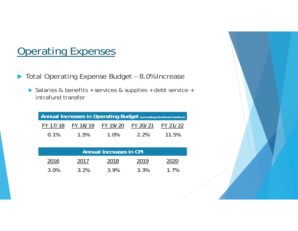- ▶ Total Operating Expense Budget 8.0% Increase
	- ▶ Salaries & benefits + services & supplies + debt service + intrafund transfer

| Annual Increases in Operating Budget (excluding intrafund transfers) |          |          |          |          |  |  |
|----------------------------------------------------------------------|----------|----------|----------|----------|--|--|
| FY 17/18                                                             | FY 18/19 | FY 19/20 | FY 20/21 | FY 21/22 |  |  |
| 0.1%                                                                 | 1.5%     | 1.0%     | 2.2%     | 11.5%    |  |  |

| <b>Annual Increases in CPI</b> |      |      |      |      |  |  |
|--------------------------------|------|------|------|------|--|--|
| 2016                           | 2017 | 2018 | 2019 | 2020 |  |  |
| 3.0%                           | 3.2% | 3.9% | 3.3% | 1.7% |  |  |

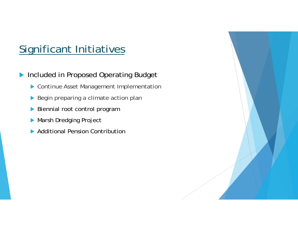# Significant Initiatives

 $\blacktriangleright$ Included in Proposed Operating Budget

- Continue Asset Management Implementation
- Begin preparing a climate action plan
- **Biennial root control program**
- **Marsh Dredging Project**
- **Additional Pension Contribution**

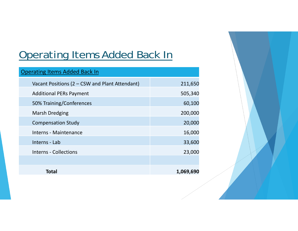# Operating Items Added Back In

| <b>Operating Items Added Back In</b>           |           |
|------------------------------------------------|-----------|
| Vacant Positions (2 – CSW and Plant Attendant) | 211,650   |
| <b>Additional PERs Payment</b>                 | 505,340   |
| 50% Training/Conferences                       | 60,100    |
| <b>Marsh Dredging</b>                          | 200,000   |
| <b>Compensation Study</b>                      | 20,000    |
| Interns - Maintenance                          | 16,000    |
| Interns - Lab                                  | 33,600    |
| <b>Interns - Collections</b>                   | 23,000    |
|                                                |           |
| Total                                          | 1,069,690 |

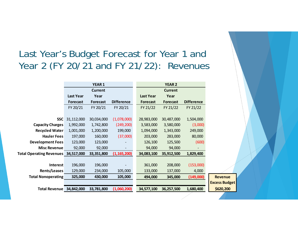#### Last Year's Budget Forecast for Year 1 and Year 2 (FY 20/21 and FY 21/22): Revenues

|                                 |                  | <b>YEAR1</b>    |                   |                  | <b>YEAR 2</b>   |                   |
|---------------------------------|------------------|-----------------|-------------------|------------------|-----------------|-------------------|
|                                 |                  | <b>Current</b>  |                   |                  | <b>Current</b>  |                   |
|                                 | <b>Last Year</b> | Year            |                   | <b>Last Year</b> | Year            |                   |
|                                 | <b>Forecast</b>  | <b>Forecast</b> | <b>Difference</b> | <b>Forecast</b>  | <b>Forecast</b> | <b>Difference</b> |
|                                 | FY 20/21         | FY 20/21        | FY 20/21          | FY 21/22         | FY 21/22        | FY 21/22          |
|                                 |                  |                 |                   |                  |                 |                   |
| <b>SSC</b>                      | 31,112,000       | 30,034,000      | (1,078,000)       | 28,983,000       | 30,487,000      | 1,504,000         |
| <b>Capacity Charges</b>         | 1,992,000        | 1,742,800       | (249, 200)        | 3,583,000        | 3,580,000       | (3,000)           |
| <b>Recycled Water</b>           | 1,001,000        | 1,200,000       | 199,000           | 1,094,000        | 1,343,000       | 249,000           |
| <b>Hauler Fees</b>              | 197,000          | 160,000         | (37,000)          | 203,000          | 283,000         | 80,000            |
| <b>Development Fees</b>         | 123,000          | 123,000         |                   | 126,100          | 125,500         | (600)             |
| <b>Misc Revenue</b>             | 92,000           | 92,000          | -                 | 94,000           | 94,000          |                   |
| <b>Total Operating Revenues</b> | 34,517,000       | 33,351,800      | (1, 165, 200)     | 34,083,100       | 35,912,500      | 1,829,400         |
|                                 |                  |                 |                   |                  |                 |                   |
| <b>Interest</b>                 | 196,000          | 196,000         |                   | 361,000          | 208,000         | (153,000)         |
| <b>Rents/Leases</b>             | 129,000          | 234,000         | 105,000           | 133,000          | 137,000         | 4,000             |
| <b>Total Nonoperating</b>       | 325,000          | 430,000         | 105,000           | 494,000          | 345,000         | (149,000)         |
|                                 |                  |                 |                   |                  |                 |                   |
| <b>Total Revenue</b>            | 34,842,000       | 33,781,800      | (1,060,200)       | 34,577,100       | 36,257,500      | 1,680,400         |
|                                 |                  |                 |                   |                  |                 |                   |

**Excess Budget**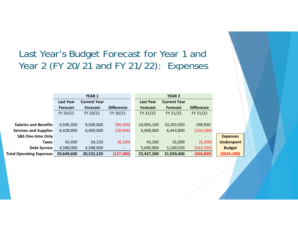#### Last Year's Budget Forecast for Year 1 and Year 2 (FY 20/21 and FY 21/22): Expenses

|                                 | <b>YEAR 1</b>    |                     |                          | <b>YEAR 2</b>    |                     |                   |
|---------------------------------|------------------|---------------------|--------------------------|------------------|---------------------|-------------------|
|                                 | <b>Last Year</b> | <b>Current Year</b> |                          | <b>Last Year</b> | <b>Current Year</b> |                   |
|                                 | <b>Forecast</b>  | <b>Forecast</b>     | <b>Difference</b>        | <b>Forecast</b>  | <b>Forecast</b>     | <b>Difference</b> |
|                                 | FY 20/21         | FY 20/21            | FY 20/21                 | FY 21/22         | FY 21/22            | FY 21/22          |
|                                 |                  |                     |                          |                  |                     |                   |
| <b>Salaries and Benefits</b>    | 9,590,300        | 9,500,000           | (90, 300)                | 10,093,100       | 10,292,050          | 198,950           |
| <b>Services and Supplies</b>    | 6,428,900        | 6,400,000           | (28,900)                 | 6,600,000        | 6,443,800           | (156, 200)        |
| <b>S&amp;S One-time Only</b>    |                  |                     |                          |                  |                     |                   |
| <b>Taxes</b>                    | 42,400           | 34,220              | (8, 180)                 | 43,200           | 35,000              | (8,200)           |
| <b>Debt Service</b>             | 4,588,000        | 4,588,000           | $\overline{\phantom{m}}$ | 5,690,900        | 5,149,550           | (541, 350)        |
| <b>Total Operating Expenses</b> | 20,649,600       | 20,522,220          | (127, 380)               | 22,427,200       | 21,920,400          | (506, 800)        |

**Underspent**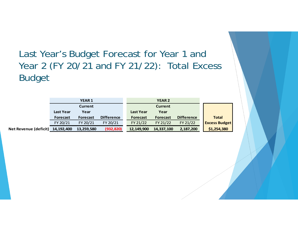Last Year's Budget Forecast for Year 1 and Year 2 (FY 20/21 and FY 21/22): Total Excess Budget

|                       |                  | <b>YEAR 1</b>   |                   |                  | <b>YEAR 2</b>  |                   |                      |
|-----------------------|------------------|-----------------|-------------------|------------------|----------------|-------------------|----------------------|
|                       |                  | <b>Current</b>  |                   |                  | <b>Current</b> |                   |                      |
|                       | <b>Last Year</b> | Year            |                   | <b>Last Year</b> | Year           |                   |                      |
|                       | <b>Forecast</b>  | <b>Forecast</b> | <b>Difference</b> | <b>Forecast</b>  | Forecast       | <b>Difference</b> | <b>Total</b>         |
|                       | FY 20/21         | FY 20/21        | FY 20/21          | FY 21/22         | FY 21/22       | FY 21/22          | <b>Excess Budget</b> |
| Net Revenue (deficit) | 14,192,400       | 13,259,580      | (932, 820)        | 12,149,900       | 14,337,100     | 2,187,200         | \$1,254,380          |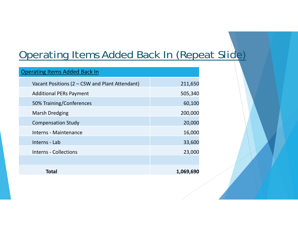# Operating Items Added Back In (Repeat Slide)

| <b>Operating Items Added Back In</b>           |           |
|------------------------------------------------|-----------|
| Vacant Positions (2 - CSW and Plant Attendant) | 211,650   |
| <b>Additional PERs Payment</b>                 | 505,340   |
| 50% Training/Conferences                       | 60,100    |
| <b>Marsh Dredging</b>                          | 200,000   |
| <b>Compensation Study</b>                      | 20,000    |
| Interns - Maintenance                          | 16,000    |
| Interns - Lab                                  | 33,600    |
| <b>Interns - Collections</b>                   | 23,000    |
|                                                |           |
| Total                                          | 1,069,690 |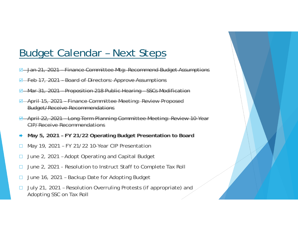### Budget Calendar – Next Steps

- ₩ Jan 21, 2021 – Finance Committee Mtg: Recommend Budget Assumptions
- ⊌ Feb 17, 2021 – Board of Directors: Approve Assumptions
- ₩ Mar 31, 2021 – Proposition 218 Public Hearing – SSCs Modification
- ₩ April 15, 2021 – Finance Committee Meeting: Review Proposed Budget/Receive Recommendations
- ₩ April 22, 2021 – Long Term Planning Committee Meeting: Review 10-Year CIP/Receive Recommendations
- ➡ **May 5, 2021 – FY 21/22 Operating Budget Presentation to Board**
- $\Box$ May 19, 2021 – FY 21/22 10-Year CIP Presentation
- $\Box$ June 2, 2021 – Adopt Operating and Capital Budget
- $\Box$ June 2, 2021 - Resolution to Instruct Staff to Complete Tax Roll
- $\Box$ June 16, 2021 – Backup Date for Adopting Budget
- $\Box$  July 21, 2021 – Resolution Overruling Protests (if appropriate) and Adopting SSC on Tax Roll